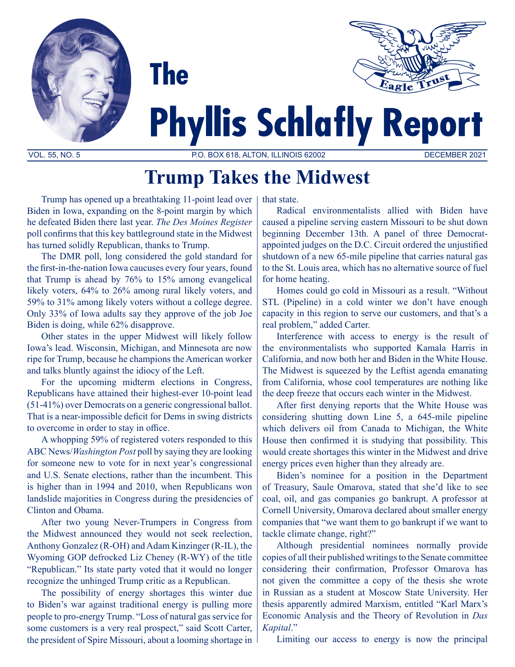

# **Phyllis Schlafly Report**

VOL. 55, NO. 5 P.O. BOX 618, ALTON, ILLINOIS 62002 DECEMBER 2021

## **Trump Takes the Midwest**

Trump has opened up a breathtaking 11-point lead over Biden in Iowa, expanding on the 8-point margin by which he defeated Biden there last year. *The Des Moines Register* poll confirms that this key battleground state in the Midwest has turned solidly Republican, thanks to Trump.

**The** 

The DMR poll, long considered the gold standard for the first-in-the-nation Iowa caucuses every four years, found that Trump is ahead by 76% to 15% among evangelical likely voters, 64% to 26% among rural likely voters, and 59% to 31% among likely voters without a college degree. Only 33% of Iowa adults say they approve of the job Joe Biden is doing, while 62% disapprove.

Other states in the upper Midwest will likely follow Iowa's lead. Wisconsin, Michigan, and Minnesota are now ripe for Trump, because he champions the American worker and talks bluntly against the idiocy of the Left.

For the upcoming midterm elections in Congress, Republicans have attained their highest-ever 10-point lead (51-41%) over Democrats on a generic congressional ballot. That is a near-impossible deficit for Dems in swing districts to overcome in order to stay in office.

A whopping 59% of registered voters responded to this ABC News/*Washington Post* poll by saying they are looking for someone new to vote for in next year's congressional and U.S. Senate elections, rather than the incumbent. This is higher than in 1994 and 2010, when Republicans won landslide majorities in Congress during the presidencies of Clinton and Obama.

After two young Never-Trumpers in Congress from the Midwest announced they would not seek reelection, Anthony Gonzalez (R-OH) and Adam Kinzinger (R-IL), the Wyoming GOP defrocked Liz Cheney (R-WY) of the title "Republican." Its state party voted that it would no longer recognize the unhinged Trump critic as a Republican.

The possibility of energy shortages this winter due to Biden's war against traditional energy is pulling more people to pro-energy Trump. "Loss of natural gas service for some customers is a very real prospect," said Scott Carter, the president of Spire Missouri, about a looming shortage in

that state.

Radical environmentalists allied with Biden have caused a pipeline serving eastern Missouri to be shut down beginning December 13th. A panel of three Democratappointed judges on the D.C. Circuit ordered the unjustified shutdown of a new 65-mile pipeline that carries natural gas to the St. Louis area, which has no alternative source of fuel for home heating.

Homes could go cold in Missouri as a result. "Without STL (Pipeline) in a cold winter we don't have enough capacity in this region to serve our customers, and that's a real problem," added Carter.

Interference with access to energy is the result of the environmentalists who supported Kamala Harris in California, and now both her and Biden in the White House. The Midwest is squeezed by the Leftist agenda emanating from California, whose cool temperatures are nothing like the deep freeze that occurs each winter in the Midwest.

After first denying reports that the White House was considering shutting down Line 5, a 645-mile pipeline which delivers oil from Canada to Michigan, the White House then confirmed it is studying that possibility. This would create shortages this winter in the Midwest and drive energy prices even higher than they already are.

Biden's nominee for a position in the Department of Treasury, Saule Omarova, stated that she'd like to see coal, oil, and gas companies go bankrupt. A professor at Cornell University, Omarova declared about smaller energy companies that "we want them to go bankrupt if we want to tackle climate change, right?"

Although presidential nominees normally provide copies of all their published writings to the Senate committee considering their confirmation, Professor Omarova has not given the committee a copy of the thesis she wrote in Russian as a student at Moscow State University. Her thesis apparently admired Marxism, entitled "Karl Marx's Economic Analysis and the Theory of Revolution in *Das Kapital*."

Limiting our access to energy is now the principal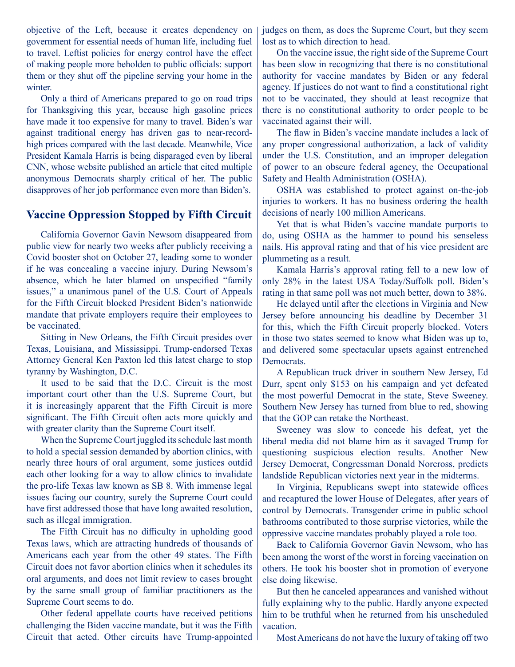objective of the Left, because it creates dependency on government for essential needs of human life, including fuel to travel. Leftist policies for energy control have the effect of making people more beholden to public officials: support them or they shut off the pipeline serving your home in the winter.

Only a third of Americans prepared to go on road trips for Thanksgiving this year, because high gasoline prices have made it too expensive for many to travel. Biden's war against traditional energy has driven gas to near-recordhigh prices compared with the last decade. Meanwhile, Vice President Kamala Harris is being disparaged even by liberal CNN, whose website published an article that cited multiple anonymous Democrats sharply critical of her. The public disapproves of her job performance even more than Biden's.

#### **Vaccine Oppression Stopped by Fifth Circuit**

California Governor Gavin Newsom disappeared from public view for nearly two weeks after publicly receiving a Covid booster shot on October 27, leading some to wonder if he was concealing a vaccine injury. During Newsom's absence, which he later blamed on unspecified "family issues," a unanimous panel of the U.S. Court of Appeals for the Fifth Circuit blocked President Biden's nationwide mandate that private employers require their employees to be vaccinated.

Sitting in New Orleans, the Fifth Circuit presides over Texas, Louisiana, and Mississippi. Trump-endorsed Texas Attorney General Ken Paxton led this latest charge to stop tyranny by Washington, D.C.

It used to be said that the D.C. Circuit is the most important court other than the U.S. Supreme Court, but it is increasingly apparent that the Fifth Circuit is more significant. The Fifth Circuit often acts more quickly and with greater clarity than the Supreme Court itself.

When the Supreme Court juggled its schedule last month to hold a special session demanded by abortion clinics, with nearly three hours of oral argument, some justices outdid each other looking for a way to allow clinics to invalidate the pro-life Texas law known as SB 8. With immense legal issues facing our country, surely the Supreme Court could have first addressed those that have long awaited resolution, such as illegal immigration.

The Fifth Circuit has no difficulty in upholding good Texas laws, which are attracting hundreds of thousands of Americans each year from the other 49 states. The Fifth Circuit does not favor abortion clinics when it schedules its oral arguments, and does not limit review to cases brought by the same small group of familiar practitioners as the Supreme Court seems to do.

Other federal appellate courts have received petitions challenging the Biden vaccine mandate, but it was the Fifth Circuit that acted. Other circuits have Trump-appointed judges on them, as does the Supreme Court, but they seem lost as to which direction to head.

On the vaccine issue, the right side of the Supreme Court has been slow in recognizing that there is no constitutional authority for vaccine mandates by Biden or any federal agency. If justices do not want to find a constitutional right not to be vaccinated, they should at least recognize that there is no constitutional authority to order people to be vaccinated against their will.

The flaw in Biden's vaccine mandate includes a lack of any proper congressional authorization, a lack of validity under the U.S. Constitution, and an improper delegation of power to an obscure federal agency, the Occupational Safety and Health Administration (OSHA).

OSHA was established to protect against on-the-job injuries to workers. It has no business ordering the health decisions of nearly 100 million Americans.

Yet that is what Biden's vaccine mandate purports to do, using OSHA as the hammer to pound his senseless nails. His approval rating and that of his vice president are plummeting as a result.

Kamala Harris's approval rating fell to a new low of only 28% in the latest USA Today/Suffolk poll. Biden's rating in that same poll was not much better, down to 38%.

He delayed until after the elections in Virginia and New Jersey before announcing his deadline by December 31 for this, which the Fifth Circuit properly blocked. Voters in those two states seemed to know what Biden was up to, and delivered some spectacular upsets against entrenched Democrats.

A Republican truck driver in southern New Jersey, Ed Durr, spent only \$153 on his campaign and yet defeated the most powerful Democrat in the state, Steve Sweeney. Southern New Jersey has turned from blue to red, showing that the GOP can retake the Northeast.

Sweeney was slow to concede his defeat, yet the liberal media did not blame him as it savaged Trump for questioning suspicious election results. Another New Jersey Democrat, Congressman Donald Norcross, predicts landslide Republican victories next year in the midterms.

In Virginia, Republicans swept into statewide offices and recaptured the lower House of Delegates, after years of control by Democrats. Transgender crime in public school bathrooms contributed to those surprise victories, while the oppressive vaccine mandates probably played a role too.

Back to California Governor Gavin Newsom, who has been among the worst of the worst in forcing vaccination on others. He took his booster shot in promotion of everyone else doing likewise.

But then he canceled appearances and vanished without fully explaining why to the public. Hardly anyone expected him to be truthful when he returned from his unscheduled vacation.

Most Americans do not have the luxury of taking off two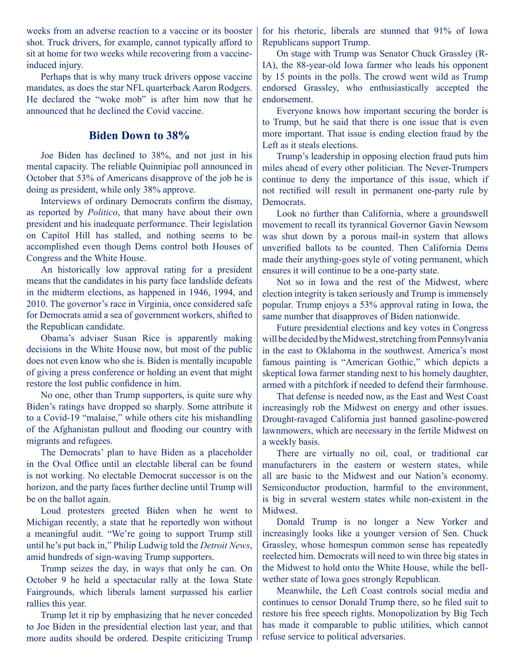weeks from an adverse reaction to a vaccine or its booster shot. Truck drivers, for example, cannot typically afford to sit at home for two weeks while recovering from a vaccineinduced injury.

Perhaps that is why many truck drivers oppose vaccine mandates, as does the star NFL quarterback Aaron Rodgers. He declared the "woke mob" is after him now that he announced that he declined the Covid vaccine.

### **Biden Down to 38%**

Joe Biden has declined to 38%, and not just in his mental capacity. The reliable Quinnipiac poll announced in October that 53% of Americans disapprove of the job he is doing as president, while only 38% approve.

Interviews of ordinary Democrats confirm the dismay, as reported by *Politico*, that many have about their own president and his inadequate performance. Their legislation on Capitol Hill has stalled, and nothing seems to be accomplished even though Dems control both Houses of Congress and the White House.

An historically low approval rating for a president means that the candidates in his party face landslide defeats in the midterm elections, as happened in 1946, 1994, and 2010. The governor's race in Virginia, once considered safe for Democrats amid a sea of government workers, shifted to the Republican candidate.

Obama's adviser Susan Rice is apparently making decisions in the White House now, but most of the public does not even know who she is. Biden is mentally incapable of giving a press conference or holding an event that might restore the lost public confidence in him.

No one, other than Trump supporters, is quite sure why Biden's ratings have dropped so sharply. Some attribute it to a Covid-19 "malaise," while others cite his mishandling of the Afghanistan pullout and flooding our country with migrants and refugees.

The Democrats' plan to have Biden as a placeholder in the Oval Office until an electable liberal can be found is not working. No electable Democrat successor is on the horizon, and the party faces further decline until Trump will be on the ballot again.

Loud protesters greeted Biden when he went to Michigan recently, a state that he reportedly won without a meaningful audit. "We're going to support Trump still until he's put back in," Philip Ludwig told the *Detroit News*, amid hundreds of sign-waving Trump supporters.

Trump seizes the day, in ways that only he can. On October 9 he held a spectacular rally at the Iowa State Fairgrounds, which liberals lament surpassed his earlier rallies this year.

Trump let it rip by emphasizing that he never conceded to Joe Biden in the presidential election last year, and that more audits should be ordered. Despite criticizing Trump for his rhetoric, liberals are stunned that 91% of Iowa Republicans support Trump.

On stage with Trump was Senator Chuck Grassley (R-IA), the 88-year-old Iowa farmer who leads his opponent by 15 points in the polls. The crowd went wild as Trump endorsed Grassley, who enthusiastically accepted the endorsement.

Everyone knows how important securing the border is to Trump, but he said that there is one issue that is even more important. That issue is ending election fraud by the Left as it steals elections.

Trump's leadership in opposing election fraud puts him miles ahead of every other politician. The Never-Trumpers continue to deny the importance of this issue, which if not rectified will result in permanent one-party rule by Democrats.

Look no further than California, where a groundswell movement to recall its tyrannical Governor Gavin Newsom was shut down by a porous mail-in system that allows unverified ballots to be counted. Then California Dems made their anything-goes style of voting permanent, which ensures it will continue to be a one-party state.

Not so in Iowa and the rest of the Midwest, where election integrity is taken seriously and Trump is immensely popular. Trump enjoys a 53% approval rating in Iowa, the same number that disapproves of Biden nationwide.

Future presidential elections and key votes in Congress will be decided by the Midwest, stretching from Pennsylvania in the east to Oklahoma in the southwest. America's most famous painting is "American Gothic," which depicts a skeptical Iowa farmer standing next to his homely daughter, armed with a pitchfork if needed to defend their farmhouse.

That defense is needed now, as the East and West Coast increasingly rob the Midwest on energy and other issues. Drought-ravaged California just banned gasoline-powered lawnmowers, which are necessary in the fertile Midwest on a weekly basis.

There are virtually no oil, coal, or traditional car manufacturers in the eastern or western states, while all are basic to the Midwest and our Nation's economy. Semiconductor production, harmful to the environment, is big in several western states while non-existent in the Midwest.

Donald Trump is no longer a New Yorker and increasingly looks like a younger version of Sen. Chuck Grassley, whose homespun common sense has repeatedly reelected him. Democrats will need to win three big states in the Midwest to hold onto the White House, while the bellwether state of Iowa goes strongly Republican.

Meanwhile, the Left Coast controls social media and continues to censor Donald Trump there, so he filed suit to restore his free speech rights. Monopolization by Big Tech has made it comparable to public utilities, which cannot refuse service to political adversaries.